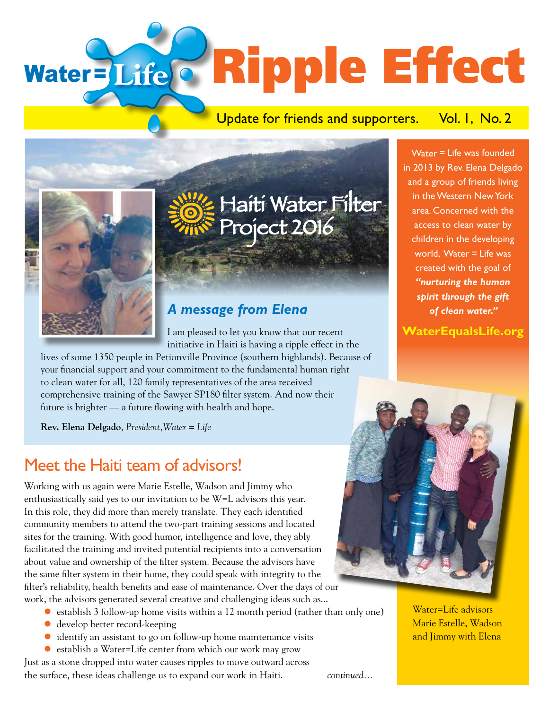# Water=Life & Ripple Effect

#### Update for friends and supporters. Vol. I, No. 2



## Haiti Water Filter Project 2016

#### *A message from Elena*

I am pleased to let you know that our recent initiative in Haiti is having a ripple effect in the

lives of some 1350 people in Petionville Province (southern highlands). Because of your financial support and your commitment to the fundamental human right to clean water for all, 120 family representatives of the area received comprehensive training of the Sawyer SP180 filter system. And now their future is brighter — a future flowing with health and hope.

**Rev. Elena Delgado**, *President,Water = Life*

### Meet the Haiti team of advisors!

Working with us again were Marie Estelle, Wadson and Jimmy who enthusiastically said yes to our invitation to be W=L advisors this year. In this role, they did more than merely translate. They each identified community members to attend the two-part training sessions and located sites for the training. With good humor, intelligence and love, they ably facilitated the training and invited potential recipients into a conversation about value and ownership of the filter system. Because the advisors have the same filter system in their home, they could speak with integrity to the filter's reliability, health benefits and ease of maintenance. Over the days of our work, the advisors generated several creative and challenging ideas such as...

- lestablish 3 follow-up home visits within a 12 month period (rather than only one)
- ldevelop better record-keeping
- lidentify an assistant to go on follow-up home maintenance visits
- establish a Water=Life center from which our work may grow

Just as a stone dropped into water causes ripples to move outward across the surface, these ideas challenge us to expand our work in Haiti. *continued...*

Water = Life was founded in 2013 by Rev. Elena Delgado and a group of friends living in the Western New York area. Concerned with the access to clean water by children in the developing world, Water = Life was created with the goal of *"nurturing the human spirit through the gift of clean water."* 

**WaterEqualsLife.org**



Water=Life advisors Marie Estelle, Wadson and Jimmy with Elena